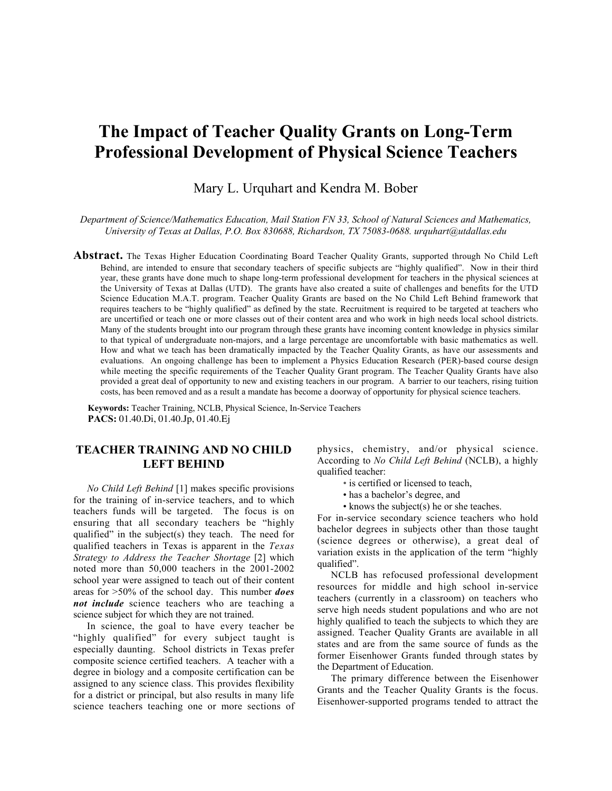# The Impact of Teacher Quality Grants on Long-Term Professional Development of Physical Science Teachers

Mary L. Urquhart and Kendra M. Bober

*Department of Science/Mathematics Education, Mail Station FN 33, School of Natural Sciences and Mathematics, University of Texas at Dallas, P.O. Box 830688, Richardson, TX 75083-0688. urquhart@utdallas.edu*

Abstract. The Texas Higher Education Coordinating Board Teacher Quality Grants, supported through No Child Left Behind, are intended to ensure that secondary teachers of specific subjects are "highly qualified". Now in their third year, these grants have done much to shape long-term professional development for teachers in the physical sciences at the University of Texas at Dallas (UTD). The grants have also created a suite of challenges and benefits for the UTD Science Education M.A.T. program. Teacher Quality Grants are based on the No Child Left Behind framework that requires teachers to be "highly qualified" as defined by the state. Recruitment is required to be targeted at teachers who are uncertified or teach one or more classes out of their content area and who work in high needs local school districts. Many of the students brought into our program through these grants have incoming content knowledge in physics similar to that typical of undergraduate non-majors, and a large percentage are uncomfortable with basic mathematics as well. How and what we teach has been dramatically impacted by the Teacher Quality Grants, as have our assessments and evaluations. An ongoing challenge has been to implement a Physics Education Research (PER)-based course design while meeting the specific requirements of the Teacher Quality Grant program. The Teacher Quality Grants have also provided a great deal of opportunity to new and existing teachers in our program. A barrier to our teachers, rising tuition costs, has been removed and as a result a mandate has become a doorway of opportunity for physical science teachers.

Keywords: Teacher Training, NCLB, Physical Science, In-Service Teachers PACS: 01.40.Di, 01.40.Jp, 01.40.Ej

# TEACHER TRAINING AND NO CHILD LEFT BEHIND

*No Child Left Behind* [1] makes specific provisions for the training of in-service teachers, and to which teachers funds will be targeted. The focus is on ensuring that all secondary teachers be "highly qualified" in the subject(s) they teach. The need for qualified teachers in Texas is apparent in the *Texas Strategy to Address the Teacher Shortage* [2] which noted more than 50,000 teachers in the 2001-2002 school year were assigned to teach out of their content areas for >50% of the school day. This number *does not include* science teachers who are teaching a science subject for which they are not trained.

In science, the goal to have every teacher be "highly qualified" for every subject taught is especially daunting. School districts in Texas prefer composite science certified teachers. A teacher with a degree in biology and a composite certification can be assigned to any science class. This provides flexibility for a district or principal, but also results in many life science teachers teaching one or more sections of physics, chemistry, and/or physical science. According to *No Child Left Behind* (NCLB), a highly qualified teacher:

- is certified or licensed to teach,
- has a bachelor's degree, and
- knows the subject(s) he or she teaches.

For in-service secondary science teachers who hold bachelor degrees in subjects other than those taught (science degrees or otherwise), a great deal of variation exists in the application of the term "highly qualified".

NCLB has refocused professional development resources for middle and high school in-service teachers (currently in a classroom) on teachers who serve high needs student populations and who are not highly qualified to teach the subjects to which they are assigned. Teacher Quality Grants are available in all states and are from the same source of funds as the former Eisenhower Grants funded through states by the Department of Education.

The primary difference between the Eisenhower Grants and the Teacher Quality Grants is the focus. Eisenhower-supported programs tended to attract the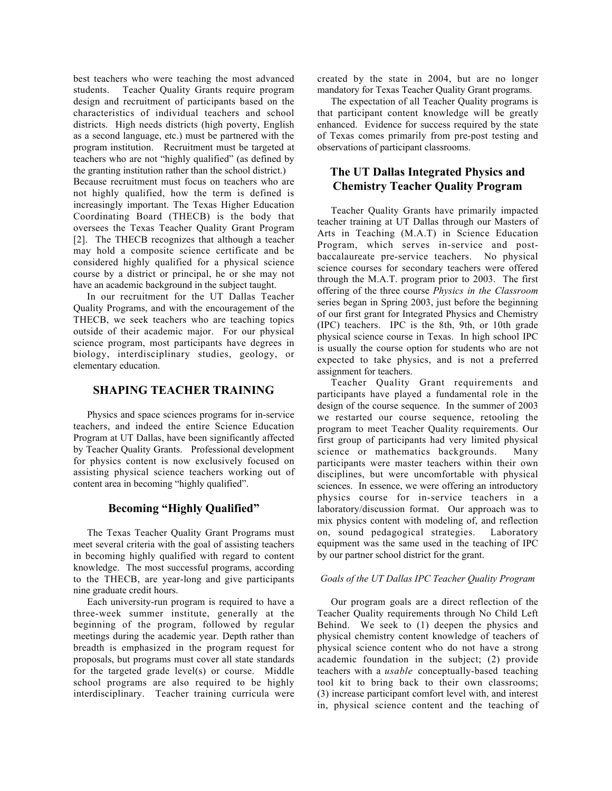best teachers who were teaching the most advanced students. Teacher Quality Grants require program design and recruitment of participants based on the characteristics of individual teachers and school districts. High needs districts (high poverty, English as a second language, etc.) must be partnered with the program institution. Recruitment must be targeted at teachers who are not "highly qualified" (as defined by the granting institution rather than the school district.) Because recruitment must focus on teachers who are not highly qualified, how the term is defined is increasingly important. The Texas Higher Education Coordinating Board (THECB) is the body that oversees the Texas Teacher Quality Grant Program [2]. The THECB recognizes that although a teacher may hold a composite science certificate and be considered highly qualified for a physical science course by a district or principal, he or she may not

have an academic background in the subject taught. In our recruitment for the UT Dallas Teacher Quality Programs, and with the encouragement of the THECB, we seek teachers who are teaching topics outside of their academic major. For our physical science program, most participants have degrees in biology, interdisciplinary studies, geology, or elementary education.

## SHAPING TEACHER TRAINING

Physics and space sciences programs for in-service teachers, and indeed the entire Science Education Program at UT Dallas, have been significantly affected by Teacher Quality Grants. Professional development for physics content is now exclusively focused on assisting physical science teachers working out of content area in becoming "highly qualified".

## Becoming "Highly Qualified"

The Texas Teacher Quality Grant Programs must meet several criteria with the goal of assisting teachers in becoming highly qualified with regard to content knowledge. The most successful programs, according to the THECB, are year-long and give participants nine graduate credit hours.

Each university-run program is required to have a three-week summer institute, generally at the beginning of the program, followed by regular meetings during the academic year. Depth rather than breadth is emphasized in the program request for proposals, but programs must cover all state standards for the targeted grade level(s) or course. Middle school programs are also required to be highly interdisciplinary. Teacher training curricula were

created by the state in 2004, but are no longer mandatory for Texas Teacher Quality Grant programs.

The expectation of all Teacher Quality programs is that participant content knowledge will be greatly enhanced. Evidence for success required by the state of Texas comes primarily from pre-post testing and observations of participant classrooms.

# The UT Dallas Integrated Physics and Chemistry Teacher Quality Program

Teacher Quality Grants have primarily impacted teacher training at UT Dallas through our Masters of Arts in Teaching (M.A.T) in Science Education Program, which serves in-service and postbaccalaureate pre-service teachers. No physical science courses for secondary teachers were offered through the M.A.T. program prior to 2003. The first offering of the three course *Physics in the Classroom* series began in Spring 2003, just before the beginning of our first grant for Integrated Physics and Chemistry (IPC) teachers. IPC is the 8th, 9th, or 10th grade physical science course in Texas. In high school IPC is usually the course option for students who are not expected to take physics, and is not a preferred assignment for teachers.

Teacher Quality Grant requirements and participants have played a fundamental role in the design of the course sequence. In the summer of 2003 we restarted our course sequence, retooling the program to meet Teacher Quality requirements. Our first group of participants had very limited physical science or mathematics backgrounds. Many participants were master teachers within their own disciplines, but were uncomfortable with physical sciences. In essence, we were offering an introductory physics course for in-service teachers in a laboratory/discussion format. Our approach was to mix physics content with modeling of, and reflection on, sound pedagogical strategies. Laboratory equipment was the same used in the teaching of IPC by our partner school district for the grant.

### *Goals of the UT Dallas IPC Teacher Quality Program*

Our program goals are a direct reflection of the Teacher Quality requirements through No Child Left Behind. We seek to (1) deepen the physics and physical chemistry content knowledge of teachers of physical science content who do not have a strong academic foundation in the subject; (2) provide teachers with a *usable* conceptually-based teaching tool kit to bring back to their own classrooms; (3) increase participant comfort level with, and interest in, physical science content and the teaching of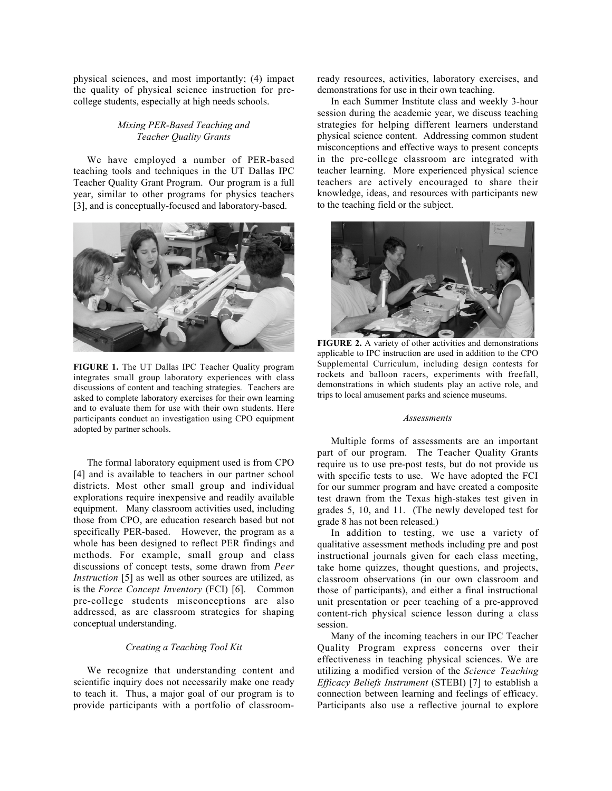physical sciences, and most importantly; (4) impact the quality of physical science instruction for precollege students, especially at high needs schools.

## *Mixing PER-Based Teaching and Teacher Quality Grants*

We have employed a number of PER-based teaching tools and techniques in the UT Dallas IPC Teacher Quality Grant Program. Our program is a full year, similar to other programs for physics teachers [3], and is conceptually-focused and laboratory-based.



FIGURE 1. The UT Dallas IPC Teacher Quality program integrates small group laboratory experiences with class discussions of content and teaching strategies. Teachers are asked to complete laboratory exercises for their own learning and to evaluate them for use with their own students. Here participants conduct an investigation using CPO equipment adopted by partner schools.

The formal laboratory equipment used is from CPO [4] and is available to teachers in our partner school districts. Most other small group and individual explorations require inexpensive and readily available equipment. Many classroom activities used, including those from CPO, are education research based but not specifically PER-based. However, the program as a whole has been designed to reflect PER findings and methods. For example, small group and class discussions of concept tests, some drawn from *Peer Instruction* [5] as well as other sources are utilized, as is the *Force Concept Inventory* (FCI) [6]. Common pre-college students misconceptions are also addressed, as are classroom strategies for shaping conceptual understanding.

#### *Creating a Teaching Tool Kit*

We recognize that understanding content and scientific inquiry does not necessarily make one ready to teach it. Thus, a major goal of our program is to provide participants with a portfolio of classroomready resources, activities, laboratory exercises, and demonstrations for use in their own teaching.

In each Summer Institute class and weekly 3-hour session during the academic year, we discuss teaching strategies for helping different learners understand physical science content. Addressing common student misconceptions and effective ways to present concepts in the pre-college classroom are integrated with teacher learning. More experienced physical science teachers are actively encouraged to share their knowledge, ideas, and resources with participants new to the teaching field or the subject.



FIGURE 2. A variety of other activities and demonstrations applicable to IPC instruction are used in addition to the CPO Supplemental Curriculum, including design contests for rockets and balloon racers, experiments with freefall, demonstrations in which students play an active role, and trips to local amusement parks and science museums.

#### *Assessments*

Multiple forms of assessments are an important part of our program. The Teacher Quality Grants require us to use pre-post tests, but do not provide us with specific tests to use. We have adopted the FCI for our summer program and have created a composite test drawn from the Texas high-stakes test given in grades 5, 10, and 11. (The newly developed test for grade 8 has not been released.)

In addition to testing, we use a variety of qualitative assessment methods including pre and post instructional journals given for each class meeting, take home quizzes, thought questions, and projects, classroom observations (in our own classroom and those of participants), and either a final instructional unit presentation or peer teaching of a pre-approved content-rich physical science lesson during a class session.

Many of the incoming teachers in our IPC Teacher Quality Program express concerns over their effectiveness in teaching physical sciences. We are utilizing a modified version of the *Science Teaching Efficacy Beliefs Instrument* (STEBI) [7] to establish a connection between learning and feelings of efficacy. Participants also use a reflective journal to explore